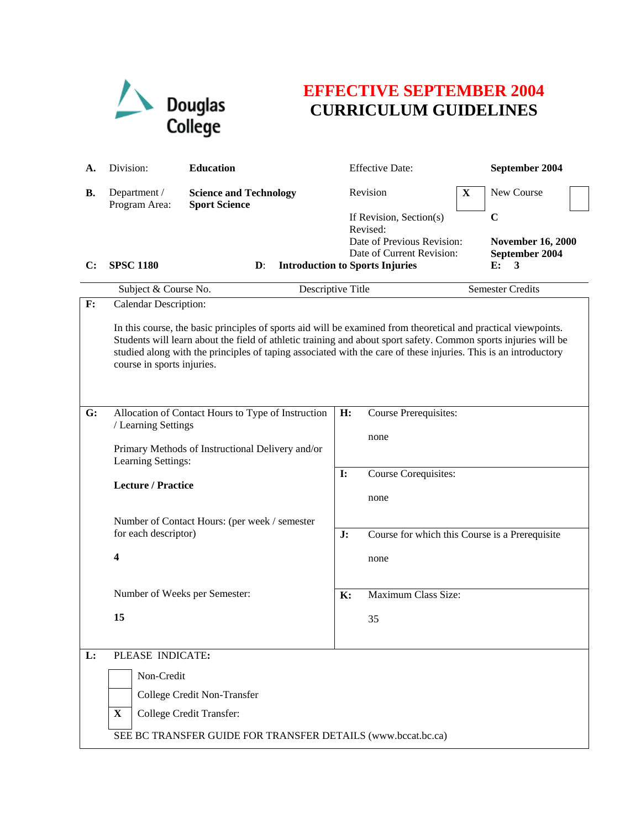

## **EFFECTIVE SEPTEMBER 2004 CURRICULUM GUIDELINES**

| А.             | Division:                                                                                                                                                                                                                                                                                                                                                                          | <b>Education</b>                                                                                                                                        |                       | <b>Effective Date:</b>                                                                                                                   |             | September 2004                                                       |
|----------------|------------------------------------------------------------------------------------------------------------------------------------------------------------------------------------------------------------------------------------------------------------------------------------------------------------------------------------------------------------------------------------|---------------------------------------------------------------------------------------------------------------------------------------------------------|-----------------------|------------------------------------------------------------------------------------------------------------------------------------------|-------------|----------------------------------------------------------------------|
| <b>B.</b>      | Department /<br>Program Area:                                                                                                                                                                                                                                                                                                                                                      | <b>Science and Technology</b><br><b>Sport Science</b>                                                                                                   |                       | Revision                                                                                                                                 | $\mathbf X$ | New Course                                                           |
| $\mathbf{C}$ : | <b>SPSC 1180</b>                                                                                                                                                                                                                                                                                                                                                                   | $\mathbf{D}$ :                                                                                                                                          |                       | If Revision, Section(s)<br>Revised:<br>Date of Previous Revision:<br>Date of Current Revision:<br><b>Introduction to Sports Injuries</b> |             | $\mathbf C$<br><b>November 16, 2000</b><br>September 2004<br>E:<br>3 |
|                | Subject & Course No.                                                                                                                                                                                                                                                                                                                                                               | Descriptive Title                                                                                                                                       |                       |                                                                                                                                          |             | <b>Semester Credits</b>                                              |
| $\mathbf{F}$ : | <b>Calendar Description:</b>                                                                                                                                                                                                                                                                                                                                                       |                                                                                                                                                         |                       |                                                                                                                                          |             |                                                                      |
|                | In this course, the basic principles of sports aid will be examined from theoretical and practical viewpoints.<br>Students will learn about the field of athletic training and about sport safety. Common sports injuries will be<br>studied along with the principles of taping associated with the care of these injuries. This is an introductory<br>course in sports injuries. |                                                                                                                                                         |                       |                                                                                                                                          |             |                                                                      |
| G:             | / Learning Settings<br>Learning Settings:<br><b>Lecture / Practice</b><br>for each descriptor)<br>4                                                                                                                                                                                                                                                                                | Allocation of Contact Hours to Type of Instruction<br>Primary Methods of Instructional Delivery and/or<br>Number of Contact Hours: (per week / semester | H:<br><b>I:</b><br>J: | Course Prerequisites:<br>none<br>Course Corequisites:<br>none<br>Course for which this Course is a Prerequisite<br>none                  |             |                                                                      |
|                | Number of Weeks per Semester:                                                                                                                                                                                                                                                                                                                                                      |                                                                                                                                                         | K:                    | Maximum Class Size:                                                                                                                      |             |                                                                      |
|                | 15                                                                                                                                                                                                                                                                                                                                                                                 |                                                                                                                                                         |                       | 35                                                                                                                                       |             |                                                                      |
|                |                                                                                                                                                                                                                                                                                                                                                                                    |                                                                                                                                                         |                       |                                                                                                                                          |             |                                                                      |
| L:             | PLEASE INDICATE:<br>Non-Credit<br>X                                                                                                                                                                                                                                                                                                                                                | College Credit Non-Transfer<br>College Credit Transfer:<br>SEE BC TRANSFER GUIDE FOR TRANSFER DETAILS (www.bccat.bc.ca)                                 |                       |                                                                                                                                          |             |                                                                      |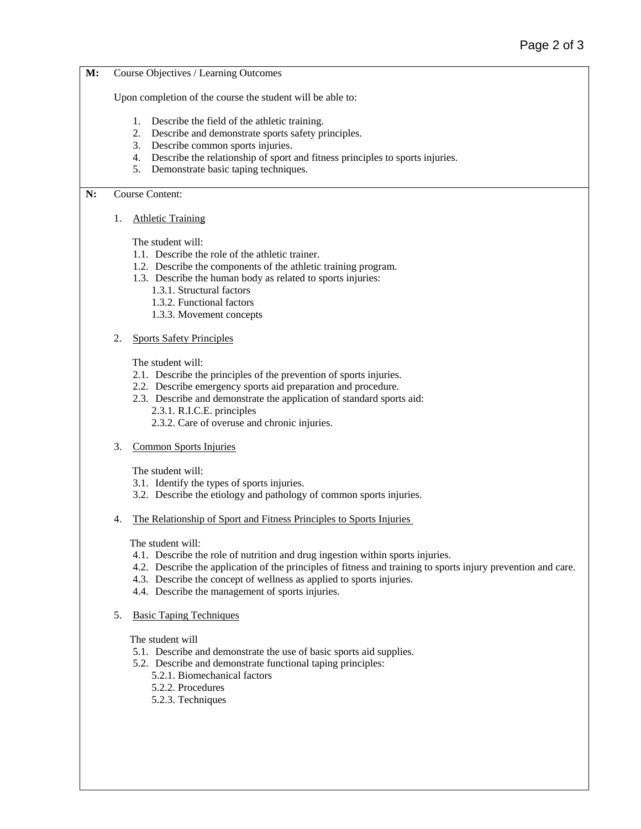**M:** Course Objectives / Learning Outcomes

Upon completion of the course the student will be able to:

- 1. Describe the field of the athletic training.
- 2. Describe and demonstrate sports safety principles.
- 3. Describe common sports injuries.
- 4. Describe the relationship of sport and fitness principles to sports injuries.
- 5. Demonstrate basic taping techniques.

**N:** Course Content:

1. Athletic Training

The student will:

- 1.1. Describe the role of the athletic trainer.
- 1.2. Describe the components of the athletic training program.
- 1.3. Describe the human body as related to sports injuries:
	- 1.3.1. Structural factors
	- 1.3.2. Functional factors
	- 1.3.3. Movement concepts
- 2. Sports Safety Principles

The student will:

- 2.1. Describe the principles of the prevention of sports injuries.
- 2.2. Describe emergency sports aid preparation and procedure.
- 2.3. Describe and demonstrate the application of standard sports aid: 2.3.1. R.I.C.E. principles
	- 2.3.2. Care of overuse and chronic injuries.
- 3. Common Sports Injuries

The student will:

- 3.1. Identify the types of sports injuries.
- 3.2. Describe the etiology and pathology of common sports injuries.
- 4. The Relationship of Sport and Fitness Principles to Sports Injuries

The student will:

- 4.1. Describe the role of nutrition and drug ingestion within sports injuries.
- 4.2. Describe the application of the principles of fitness and training to sports injury prevention and care.
- 4.3. Describe the concept of wellness as applied to sports injuries.
- 4.4. Describe the management of sports injuries.
- 5. Basic Taping Techniques

The student will

- 5.1. Describe and demonstrate the use of basic sports aid supplies.
- 5.2. Describe and demonstrate functional taping principles:
	- 5.2.1. Biomechanical factors
	- 5.2.2. Procedures
	- 5.2.3. Techniques